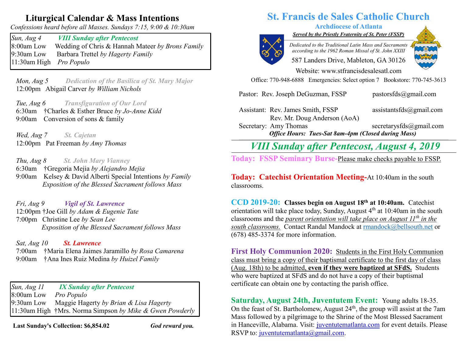## **Liturgical Calendar & Mass Intentions**

*Confessions heard before all Masses. Sundays 7:15, 9:00 & 10:30am*

*Sun, Aug 4 VIII Sunday after Pentecost* 8:00am Low Wedding of Chris & Hannah Mateer *by Brons Family* 9:30am Low Barbara Trettel *by Hagerty Family* 11:30am High *Pro Populo*

 *Mon, Aug 5 Dedication of the Basilica of St. Mary Major*  12:00pm Abigail Carver *by William Nichols*

 *Tue, Aug 6 Transfiguration of Our Lord* 6:30am †Charles & Esther Bruce *by Jo-Anne Kidd* 9:00am Conversion of sons & family

 *Wed, Aug 7 St. Cajetan* 12:00pm Pat Freeman *by Amy Thomas*

 *Thu, Aug 8 St. John Mary Vianney* 6:30am †Gregoria Mejia *by Alejandro Mejia* 9:00am Kelsey & David Alberti Special Intentions *by Family Exposition of the Blessed Sacrament follows Mass*

 *Fri, Aug 9 Vigil of St. Lawrence* 12:00pm †Joe Gill *by Adam & Eugenie Tate* 7:00pm Christine Lee *by Sean Lee Exposition of the Blessed Sacrament follows Mass*

 *Sat, Aug 10 St. Lawrence* 7:00am †Maria Elena Jaimes Jaramillo *by Rosa Camarena* 9:00am †Ana Ines Ruiz Medina *by Huizel Family*

*Sun, Aug 11 IX Sunday after Pentecost*  8:00am Low *Pro Populo* 9:30am Low Maggie Hagerty *by Brian & Lisa Hagerty* 11:30am High †Mrs. Norma Simpson *by Mike & Gwen Powderly*

**Last Sunday's Collection: \$6,854.02** *God reward you.*

# **St. Francis de Sales Catholic Church**

## **Archdiocese of Atlanta**

*Served by the Priestly Fraternity of St. Peter (FSSP) \_\_\_\_\_\_\_\_\_\_\_\_\_\_\_\_\_\_\_\_\_\_\_\_\_\_\_\_\_\_\_\_\_\_\_\_\_\_\_\_\_\_\_\_\_\_\_\_\_\_\_\_\_\_\_\_\_\_\_\_\_\_\_\_\_\_\_\_\_\_\_\_\_\_\_*



*Dedicated to the Traditional Latin Mass and Sacraments according to the 1962 Roman Missal of St. John XXIII*

587 Landers Drive, Mableton, GA 30126



Website: [www.stfrancisdesalesatl.com](http://www.stfrancisdesalesatl.com/) Office: 770-948-6888 Emergencies: Select option 7 Bookstore: 770-745-3613

Pastor: Rev. Joseph DeGuzman, FSSP [pastorsfds@gm](mailto:pastorsfds@gm)[ail.com](mailto:pastorsfds@gmail.com)

Assistant: Rev. James Smith, FSSP [assistantsfds@gmail.com](mailto:assistantsfds@gmail.com) Rev. Mr. Doug Anderson (AoA)

Secretary: Amy Thomas [secretarysfds@gmail.com](mailto:secretarysfds@gmail.com) *Office Hours: Tues-Sat 8am-4pm (Closed during Mass)* **\_\_\_\_\_\_\_\_\_\_\_\_\_\_\_\_\_\_\_\_\_\_\_\_\_\_\_\_\_\_\_\_\_\_\_\_\_\_\_\_\_\_\_\_\_\_\_\_\_\_\_\_\_\_\_\_\_\_\_\_\_\_\_\_\_\_\_\_\_\_\_\_\_\_\_\_\_\_\_\_\_\_\_\_\_\_\_\_\_\_\_\_\_\_\_\_\_\_\_\_\_\_\_\_\_\_\_\_\_\_\_\_\_\_\_\_\_\_\_\_\_**

*VIII Sunday after Pentecost, August 4, 2019*

**Today:** FSSP Seminary Burse-Please make checks payable to FSSP.

**Today: Catechist Orientation Meeting-**At 10:40am in the south classrooms.

**CCD 2019-20: Classes begin on August 18th at 10:40am.** Catechist orientation will take place today, Sunday, August  $4<sup>th</sup>$  at 10:40am in the south classrooms and the *parent orientation will take place on August 11th in the south classrooms.* Contact Randal Mandock at [rmandock@bellsouth.net](mailto:rmandock@bellsouth.net) or (678) 485-3374 for more information.

**First Holy Communion 2020:** Students in the First Holy Communion class must bring a copy of their baptismal certificate to the first day of class (Aug. 18th) to be admitted, **even if they were baptized at SFdS.** Students who were baptized at SFdS and do not have a copy of their baptismal certificate can obtain one by contacting the parish office.

**Saturday, August 24th, Juventutem Event:** Young adults 18-35. On the feast of St. Bartholomew, August  $24<sup>th</sup>$ , the group will assist at the 7am Mass followed by a pilgrimage to the Shrine of the Most Blessed Sacrament in Hanceville, Alabama. Visit: [juventutematlanta.com](http://juventutematlanta.com/) for event details. Please RSVP to: [juventutematlanta@gmail.com.](mailto:juventutematlanta@gmail.com)